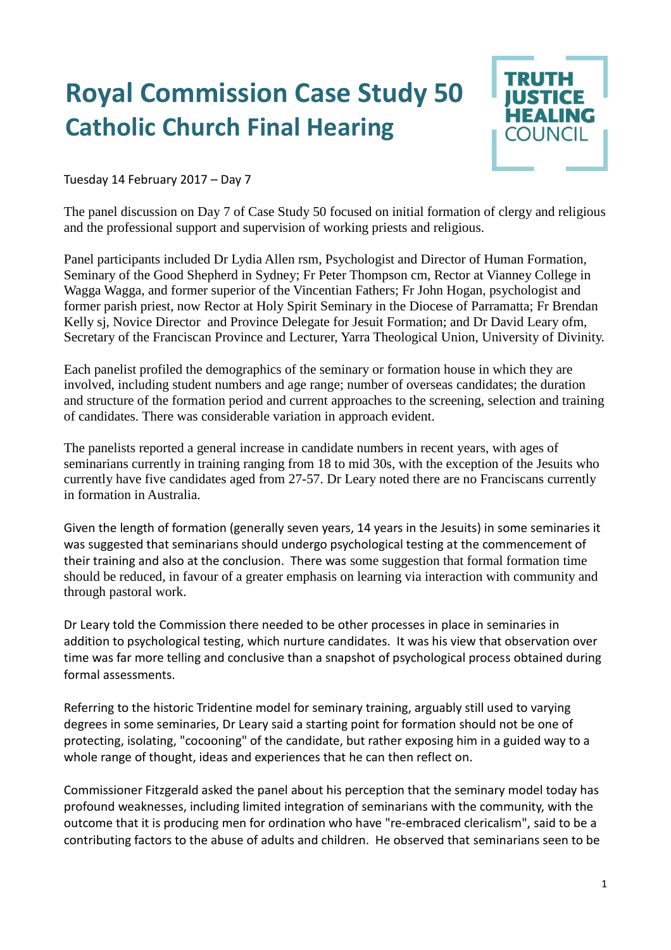## **Royal Commission Case Study 50 Catholic Church Final Hearing**



Tuesday 14 February 2017 – Day 7

The panel discussion on Day 7 of Case Study 50 focused on initial formation of clergy and religious and the professional support and supervision of working priests and religious.

Panel participants included Dr Lydia Allen rsm, Psychologist and Director of Human Formation, Seminary of the Good Shepherd in Sydney; Fr Peter Thompson cm, Rector at Vianney College in Wagga Wagga, and former superior of the Vincentian Fathers; Fr John Hogan, psychologist and former parish priest, now Rector at Holy Spirit Seminary in the Diocese of Parramatta; Fr Brendan Kelly sj, Novice Director and Province Delegate for Jesuit Formation; and Dr David Leary ofm, Secretary of the Franciscan Province and Lecturer, Yarra Theological Union, University of Divinity.

Each panelist profiled the demographics of the seminary or formation house in which they are involved, including student numbers and age range; number of overseas candidates; the duration and structure of the formation period and current approaches to the screening, selection and training of candidates. There was considerable variation in approach evident.

The panelists reported a general increase in candidate numbers in recent years, with ages of seminarians currently in training ranging from 18 to mid 30s, with the exception of the Jesuits who currently have five candidates aged from 27-57. Dr Leary noted there are no Franciscans currently in formation in Australia.

Given the length of formation (generally seven years, 14 years in the Jesuits) in some seminaries it was suggested that seminarians should undergo psychological testing at the commencement of their training and also at the conclusion. There was some suggestion that formal formation time should be reduced, in favour of a greater emphasis on learning via interaction with community and through pastoral work.

Dr Leary told the Commission there needed to be other processes in place in seminaries in addition to psychological testing, which nurture candidates. It was his view that observation over time was far more telling and conclusive than a snapshot of psychological process obtained during formal assessments.

Referring to the historic Tridentine model for seminary training, arguably still used to varying degrees in some seminaries, Dr Leary said a starting point for formation should not be one of protecting, isolating, "cocooning" of the candidate, but rather exposing him in a guided way to a whole range of thought, ideas and experiences that he can then reflect on.

Commissioner Fitzgerald asked the panel about his perception that the seminary model today has profound weaknesses, including limited integration of seminarians with the community, with the outcome that it is producing men for ordination who have "re-embraced clericalism", said to be a contributing factors to the abuse of adults and children. He observed that seminarians seen to be